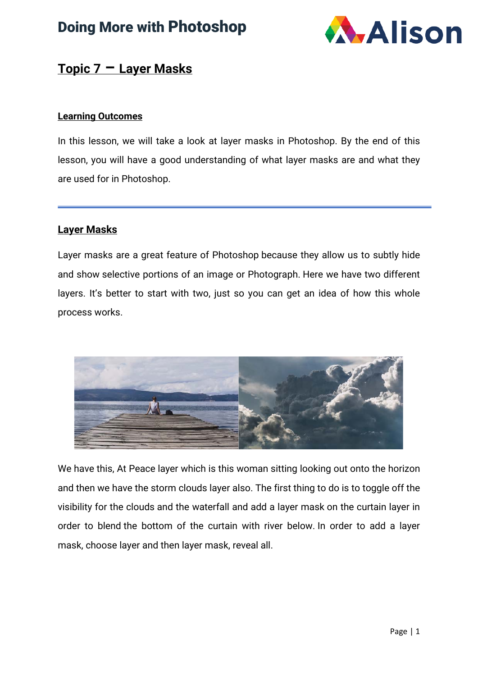### Doing More with Photoshop



#### **Topic 7 – Layer Masks**

#### **Learning Outcomes**

In this lesson, we will take a look at layer masks in Photoshop. By the end of this lesson, you will have a good understanding of what layer masks are and what they are used for in Photoshop.

#### **Layer Masks**

Layer masks are a great feature of Photoshop because they allow us to subtly hide and show selective portions of an image or Photograph. Here we have two different layers. It's better to start with two, just so you can get an idea of how this whole process works.



We have this, At Peace layer which is this woman sitting looking out onto the horizon and then we have the storm clouds layer also. The first thing to do is to toggle off the visibility for the clouds and the waterfall and add a layer mask on the curtain layer in order to blend the bottom of the curtain with river below. In order to add a layer mask, choose layer and then layer mask, reveal all.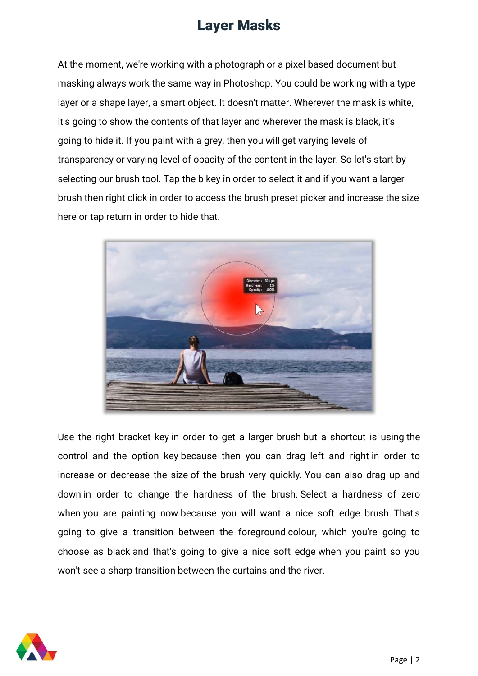At the moment, we're working with a photograph or a pixel based document but masking always work the same way in Photoshop. You could be working with a type layer or a shape layer, a smart object. It doesn't matter. Wherever the mask is white, it's going to show the contents of that layer and wherever the mask is black, it's going to hide it. If you paint with a grey, then you will get varying levels of transparency or varying level of opacity of the content in the layer. So let's start by selecting our brush tool. Tap the b key in order to select it and if you want a larger brush then right click in order to access the brush preset picker and increase the size here or tap return in order to hide that.



Use the right bracket key in order to get a larger brush but a shortcut is using the control and the option key because then you can drag left and right in order to increase or decrease the size of the brush very quickly. You can also drag up and down in order to change the hardness of the brush. Select a hardness of zero when you are painting now because you will want a nice soft edge brush. That's going to give a transition between the foreground colour, which you're going to choose as black and that's going to give a nice soft edge when you paint so you won't see a sharp transition between the curtains and the river.

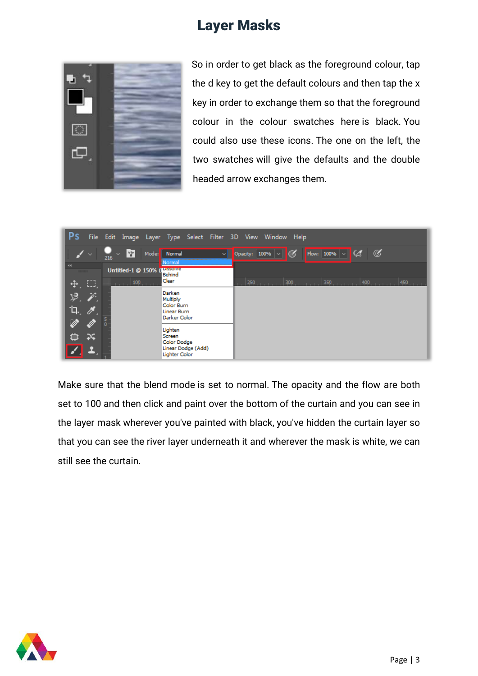

So in order to get black as the foreground colour, tap the d key to get the default colours and then tap the x key in order to exchange them so that the foreground colour in the colour swatches here is black. You could also use these icons. The one on the left, the two swatches will give the defaults and the double headed arrow exchanges them.



Make sure that the blend mode is set to normal. The opacity and the flow are both set to 100 and then click and paint over the bottom of the curtain and you can see in the layer mask wherever you've painted with black, you've hidden the curtain layer so that you can see the river layer underneath it and wherever the mask is white, we can still see the curtain.

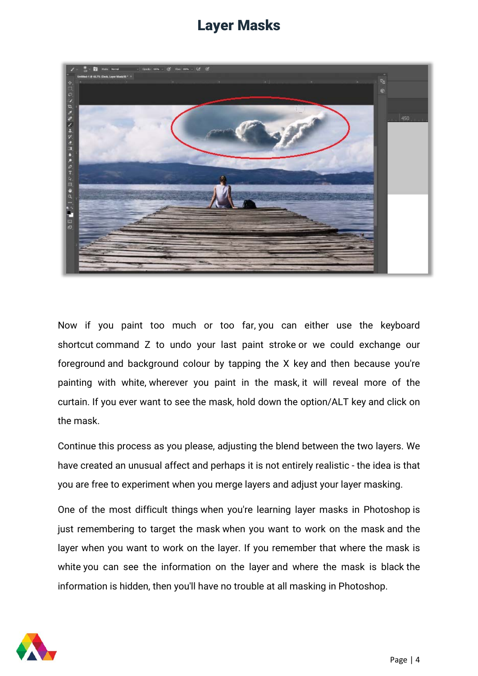

Now if you paint too much or too far, you can either use the keyboard shortcut command Z to undo your last paint stroke or we could exchange our foreground and background colour by tapping the X key and then because you're painting with white, wherever you paint in the mask, it will reveal more of the curtain. If you ever want to see the mask, hold down the option/ALT key and click on the mask.

Continue this process as you please, adjusting the blend between the two layers. We have created an unusual affect and perhaps it is not entirely realistic - the idea is that you are free to experiment when you merge layers and adjust your layer masking.

One of the most difficult things when you're learning layer masks in Photoshop is just remembering to target the mask when you want to work on the mask and the layer when you want to work on the layer. If you remember that where the mask is white you can see the information on the layer and where the mask is black the information is hidden, then you'll have no trouble at all masking in Photoshop.